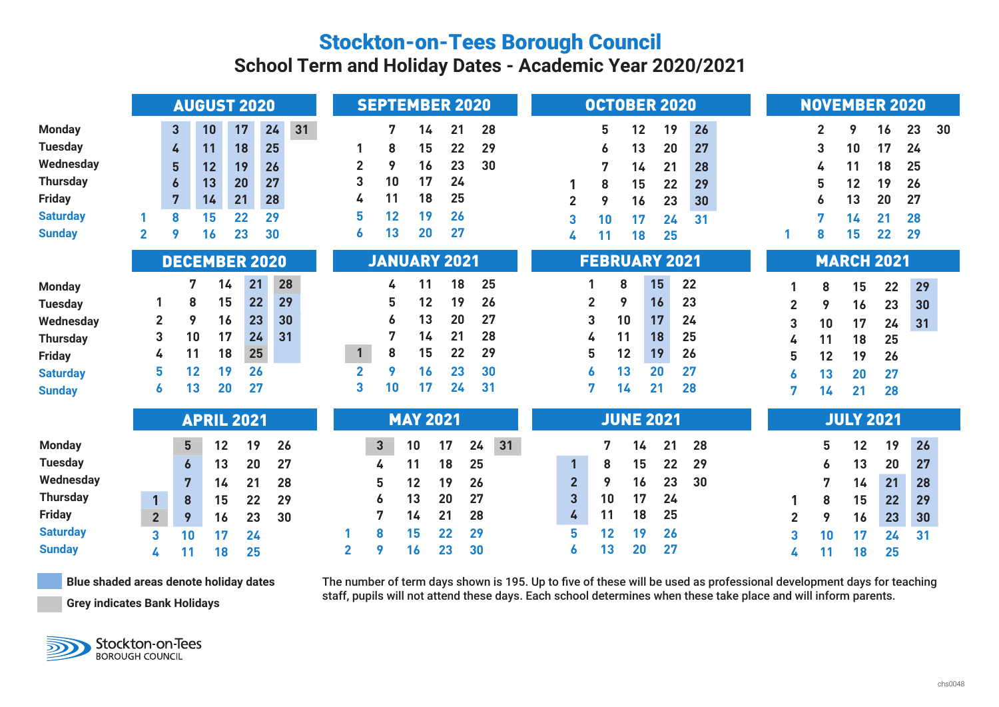## Stockton-on-Tees Borough Council

**School Term and Holiday Dates - Academic Year 2020/2021**

|                 |                         |                  | <b>AUGUST 2020</b> | <b>SEPTEMBER 2020</b> |          |    |                     |              |    |    | <b>OCTOBER 2020</b> |    |    |                      |                |    |    |    | <b>NOVEMBER 2020</b> |    |                   |                  |    |    |    |    |    |
|-----------------|-------------------------|------------------|--------------------|-----------------------|----------|----|---------------------|--------------|----|----|---------------------|----|----|----------------------|----------------|----|----|----|----------------------|----|-------------------|------------------|----|----|----|----|----|
| <b>Monday</b>   |                         | 3                | 10                 | 17                    | 24       | 31 |                     | 7            | 14 | 21 |                     | 28 |    |                      |                | 5  | 12 | 19 |                      | 26 |                   |                  | 2  | 9  | 16 | 23 | 30 |
| <b>Tuesday</b>  |                         | 4                | 11                 | 18                    | 25       |    |                     | 8            | 15 |    | 22                  | 29 |    |                      |                | 6  | 13 | 20 |                      | 27 |                   |                  | 3  | 10 | 17 | 24 |    |
| Wednesday       |                         | 5                | 12                 | 19                    | 26       |    | $\overline{2}$      | 9            | 16 |    | 23                  | 30 |    |                      |                | 7  | 14 | 21 |                      | 28 |                   |                  | 4  | 11 | 18 | 25 |    |
| <b>Thursday</b> |                         | $\boldsymbol{6}$ | 13                 | 20                    | 27       |    | 3                   | 10           | 17 |    | 24                  |    |    |                      |                | 8  | 15 | 22 |                      | 29 |                   |                  | 5  | 12 | 19 | 26 |    |
| <b>Friday</b>   |                         | 7                | 14                 | 21                    | 28       |    | 4                   | 11           | 18 |    | 25                  |    |    |                      | $\overline{2}$ | 9  | 16 | 23 |                      | 30 |                   |                  | 6  | 13 | 20 | 27 |    |
| <b>Saturday</b> |                         | 8                | 15                 | 22                    | 29       |    | 5                   | 12           | 19 |    | 26                  |    |    |                      | 3              | 10 | 17 | 24 |                      | 31 |                   |                  |    | 14 | 21 | 28 |    |
| <b>Sunday</b>   | $\overline{\mathbf{2}}$ | 9                | 16                 | 23                    | 30       |    | 6                   | 13           | 20 |    | 27                  |    |    |                      | 4              | 11 | 18 | 25 |                      |    |                   |                  | 8  | 15 | 22 | 29 |    |
|                 | <b>DECEMBER 2020</b>    |                  |                    |                       |          |    | <b>JANUARY 2021</b> |              |    |    |                     |    |    | <b>FEBRUARY 2021</b> |                |    |    |    |                      |    | <b>MARCH 2021</b> |                  |    |    |    |    |    |
| <b>Monday</b>   |                         | 7                | 14                 | 21                    | 28       |    |                     | 4            | 11 |    | 18                  | 25 |    |                      |                | 8  |    | 15 | 22                   |    |                   |                  | 8  | 15 | 22 | 29 |    |
| <b>Tuesday</b>  |                         | 8                | 15                 |                       | 29<br>22 |    |                     | 5            | 12 |    | 19                  | 26 |    |                      | 2              | 9  |    | 16 | 23                   |    |                   | $\overline{2}$   | 9  | 16 | 23 | 30 |    |
| Wednesday       | 2                       | 9                | 16                 |                       | 23<br>30 |    |                     |              | 13 |    | 20                  | 27 |    |                      | 3              | 10 |    | 17 | 24                   |    |                   | 3                | 10 | 17 | 24 | 31 |    |
| <b>Thursday</b> | 3                       | 10               | 17                 |                       | 24<br>31 |    |                     | 7            | 14 |    | 21                  | 28 |    |                      | 4              | 11 |    | 18 | 25                   |    |                   | 4                | 11 | 18 | 25 |    |    |
| <b>Friday</b>   | 4                       | 11               | 18                 |                       | 25       |    | $\mathbf{1}$        | 8            | 15 |    | 22                  | 29 |    |                      | 5              | 12 |    | 19 | 26                   |    |                   | 5                | 12 | 19 | 26 |    |    |
| <b>Saturday</b> | 5                       | 12               | 19                 | 26                    |          |    | $\overline{2}$      | 9            | 16 |    | 23                  | 30 |    |                      | 6              | 13 |    | 20 | 27                   |    |                   | 6                | 13 | 20 | 27 |    |    |
| <b>Sunday</b>   | 6                       | 13               | 20                 | 27                    |          |    | 3                   | 10           | 17 |    | 24                  | 31 |    |                      | 7              | 14 |    | 21 | 28                   |    |                   | 7                | 14 | 21 | 28 |    |    |
|                 | <b>APRIL 2021</b>       |                  |                    |                       |          |    | <b>MAY 2021</b>     |              |    |    |                     |    |    | <b>JUNE 2021</b>     |                |    |    |    |                      |    |                   | <b>JULY 2021</b> |    |    |    |    |    |
| <b>Monday</b>   |                         | 5                | 12                 | 19                    | 26       |    |                     | $\mathbf{3}$ | 10 | 17 | 24                  |    | 31 |                      |                | 7  | 14 | 21 |                      | 28 |                   |                  | 5  | 12 | 19 | 26 |    |
| <b>Tuesday</b>  |                         | $\boldsymbol{6}$ | 13                 | 20                    | 27       |    |                     | 4            | 11 | 18 | 25                  |    |    |                      | $\mathbf{1}$   | 8  | 15 | 22 |                      | 29 |                   |                  | 6  | 13 | 20 | 27 |    |
| Wednesday       |                         | $\overline{7}$   | 14                 | 21                    | 28       |    |                     | 5            | 12 | 19 | 26                  |    |    |                      | $\overline{2}$ | 9  | 16 | 23 |                      | 30 |                   |                  | 7  | 14 | 21 | 28 |    |
| <b>Thursday</b> | $\mathbf{1}$            | 8                | 15                 | 22                    | 29       |    |                     | 6            | 13 | 20 | 27                  |    |    |                      | 3              | 10 | 17 | 24 |                      |    |                   |                  | 8  | 15 | 22 | 29 |    |
| <b>Friday</b>   | $\overline{2}$          | 9                | 16                 | 23                    | 30       |    |                     | 7            | 14 | 21 | 28                  |    |    |                      | 4              | 11 | 18 | 25 |                      |    |                   | 2                | 9  | 16 | 23 | 30 |    |
| <b>Saturday</b> | 3                       | 10               | 17                 | 24                    |          |    |                     | 8            | 15 | 22 | 29                  |    |    |                      | 5              | 12 | 19 | 26 |                      |    |                   | 3                | 10 | 17 | 24 | 31 |    |
| <b>Sunday</b>   | 4                       | 11               | 18                 | 25                    |          |    | $\overline{2}$      | 9            | 16 | 23 | 30                  |    |    |                      | 6              | 13 | 20 | 27 |                      |    |                   | 4                | 11 | 18 | 25 |    |    |

**Blue shaded areas denote holiday dates Grey indicates Bank Holidays**

The number of term days shown is 195. Up to five of these will be used as professional development days for teaching staff, pupils will not attend these days. Each school determines when these take place and will inform parents.